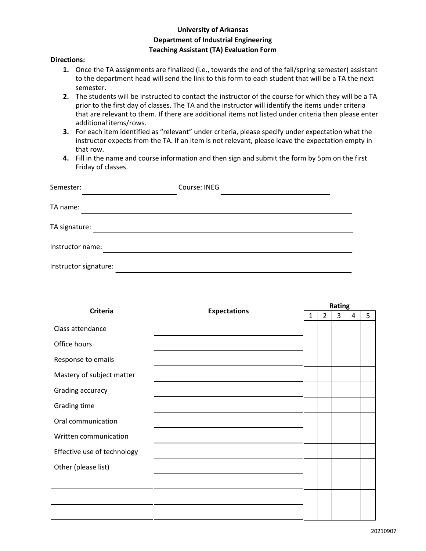## **University of Arkansas Department of Industrial Engineering Teaching Assistant (TA) Evaluation Form**

## **Directions:**

- J to the department head will send the link to this form to each student that will be a TA the next<br>semester **1.** Once the TA assignments are finalized (i.e., towards the end of the fall/spring semester) assistant semester.
- **2.** The students will be instructed to contact the instructor of the course for which they will be a TA prior to the first day of classes. The TA and the instructor will identify the items under criteria that are relevant to them. If there are additional items not listed under criteria then please enter additional items/rows.
- **3.** For each item identified as "relevant" under criteria, please specify under expectation what the instructor expects from the TA. If an item is not relevant, please leave the expectation empty in that row.
- **4.** Fill in the name and course information and then sign and submit the form by 5pm on the first Friday of classes.

| Semester:             | Course: INEG |
|-----------------------|--------------|
| TA name:              |              |
| TA signature:         |              |
| Instructor name:      |              |
| Instructor signature: |              |

| <b>Criteria</b>             | <b>Expectations</b> | Rating       |                |   |   |   |
|-----------------------------|---------------------|--------------|----------------|---|---|---|
|                             |                     | $\mathbf{1}$ | $\overline{2}$ | 3 | 4 | 5 |
| Class attendance            |                     |              |                |   |   |   |
| Office hours                |                     |              |                |   |   |   |
| Response to emails          |                     |              |                |   |   |   |
| Mastery of subject matter   |                     |              |                |   |   |   |
| Grading accuracy            |                     |              |                |   |   |   |
| Grading time                |                     |              |                |   |   |   |
| Oral communication          |                     |              |                |   |   |   |
| Written communication       |                     |              |                |   |   |   |
| Effective use of technology |                     |              |                |   |   |   |
| Other (please list)         |                     |              |                |   |   |   |
|                             |                     |              |                |   |   |   |
|                             |                     |              |                |   |   |   |
|                             |                     |              |                |   |   |   |